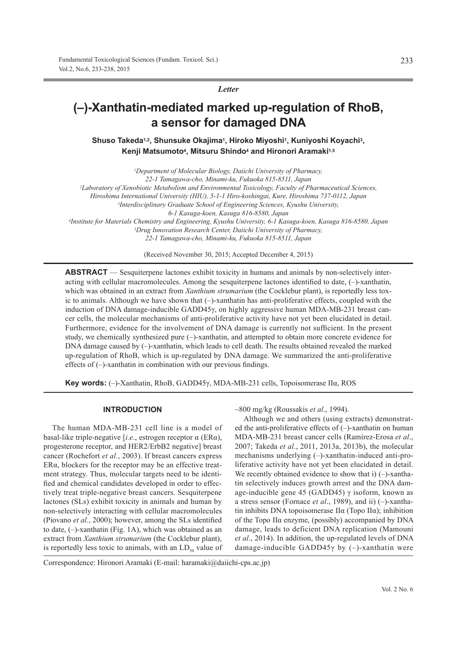*Letter*

# **(–)-Xanthatin-mediated marked up-regulation of RhoB, a sensor for damaged DNA**

Shuso Takeda<sup>1,2</sup>, Shunsuke Okajima<sup>1</sup>, Hiroko Miyoshi<sup>1</sup>, Kuniyoshi Koyachi<sup>3</sup>, **Kenji Matsumoto4, Mitsuru Shindo4 and Hironori Aramaki1,5**

*1Department of Molecular Biology, Daiichi University of Pharmacy, 22-1 Tamagawa-cho, Minami-ku, Fukuoka 815-8511, Japan 2Laboratory of Xenobiotic Metabolism and Environmental Toxicology, Faculty of Pharmaceutical Sciences, Hiroshima International University (HIU), 5-1-1 Hiro-koshingai, Kure, Hiroshima 737-0112, Japan 3Interdisciplinary Graduate School of Engineering Sciences, Kyushu University, 6-1 Kasuga-koen, Kasuga 816-8580, Japan 4Institute for Materials Chemistry and Engineering, Kyushu University, 6-1 Kasuga-koen, Kasuga 816-8580, Japan 5Drug Innovation Research Center, Daiichi University of Pharmacy, 22-1 Tamagawa-cho, Minami-ku, Fukuoka 815-8511, Japan* (Received November 30, 2015; Accepted December 4, 2015)

**ABSTRACT** — Sesquiterpene lactones exhibit toxicity in humans and animals by non-selectively interacting with cellular macromolecules. Among the sesquiterpene lactones identified to date, (–)-xanthatin, which was obtained in an extract from *Xanthium strumarium* (the Cocklebur plant), is reportedly less toxic to animals. Although we have shown that (–)-xanthatin has anti-proliferative effects, coupled with the induction of DNA damage-inducible GADD45γ, on highly aggressive human MDA-MB-231 breast cancer cells, the molecular mechanisms of anti-proliferative activity have not yet been elucidated in detail. Furthermore, evidence for the involvement of DNA damage is currently not sufficient. In the present study, we chemically synthesized pure (–)-xanthatin, and attempted to obtain more concrete evidence for DNA damage caused by (–)-xanthatin, which leads to cell death. The results obtained revealed the marked up-regulation of RhoB, which is up-regulated by DNA damage. We summarized the anti-proliferative effects of (–)-xanthatin in combination with our previous findings.

**Key words:** (–)-Xanthatin, RhoB, GADD45γ, MDA-MB-231 cells, Topoisomerase IIα, ROS

## **INTRODUCTION**

The human MDA-MB-231 cell line is a model of basal-like triple-negative [*i.e*., estrogen receptor α (ERα), progesterone receptor, and HER2/ErbB2 negative] breast cancer (Rochefort *et al.*, 2003). If breast cancers express ERα, blockers for the receptor may be an effective treatment strategy. Thus, molecular targets need to be identified and chemical candidates developed in order to effectively treat triple-negative breast cancers. Sesquiterpene lactones (SLs) exhibit toxicity in animals and human by non-selectively interacting with cellular macromolecules (Piovano *et al.*, 2000); however, among the SLs identified to date, (–)-xanthatin (Fig. 1A), which was obtained as an extract from *Xanthium strumarium* (the Cocklebur plant), is reportedly less toxic to animals, with an  $LD_{50}$  value of

~800 mg/kg (Roussakis *et al*., 1994).

Although we and others (using extracts) demonstrated the anti-proliferative effects of (–)-xanthatin on human MDA-MB-231 breast cancer cells (Ramírez-Erosa *et al*., 2007; Takeda *et al*., 2011, 2013a, 2013b), the molecular mechanisms underlying (–)-xanthatin-induced anti-proliferative activity have not yet been elucidated in detail. We recently obtained evidence to show that i)  $(-)$ -xanthatin selectively induces growth arrest and the DNA damage-inducible gene 45 (GADD45) γ isoform, known as a stress sensor (Fornace *et al*., 1989), and ii) (–)-xanthatin inhibits DNA topoisomerase IIα (Topo IIα); inhibition of the Topo IIα enzyme, (possibly) accompanied by DNA damage, leads to deficient DNA replication (Mamouni *et al*., 2014). In addition, the up-regulated levels of DNA damage-inducible GADD45 $\gamma$  by (-)-xanthatin were

Correspondence: Hironori Aramaki (E-mail: haramaki@daiichi-cps.ac.jp)

233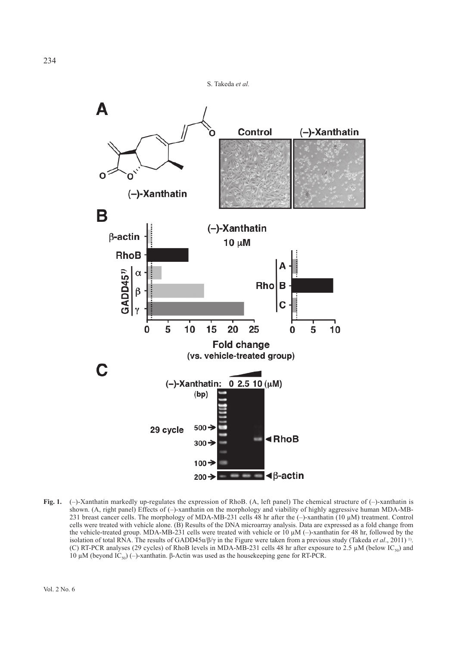



**Fig. 1.** (–)-Xanthatin markedly up-regulates the expression of RhoB. (A, left panel) The chemical structure of (–)-xanthatin is shown. (A, right panel) Effects of (–)-xanthatin on the morphology and viability of highly aggressive human MDA-MB-231 breast cancer cells. The morphology of MDA-MB-231 cells 48 hr after the (–)-xanthatin (10 μM) treatment. Control cells were treated with vehicle alone. (B) Results of the DNA microarray analysis. Data are expressed as a fold change from the vehicle-treated group. MDA-MB-231 cells were treated with vehicle or 10 μM (–)-xanthatin for 48 hr, followed by the isolation of total RNA. The results of GADD45 $\alpha/\beta/\gamma$  in the Figure were taken from a previous study (Takeda *et al.*, 2011) <sup>1)</sup>. (C) RT-PCR analyses (29 cycles) of RhoB levels in MDA-MB-231 cells 48 hr after exposure to 2.5  $\mu$ M (below IC<sub>50</sub>) and 10 μM (beyond IC<sub>50</sub>) (–)-xanthatin. β-Actin was used as the housekeeping gene for RT-PCR.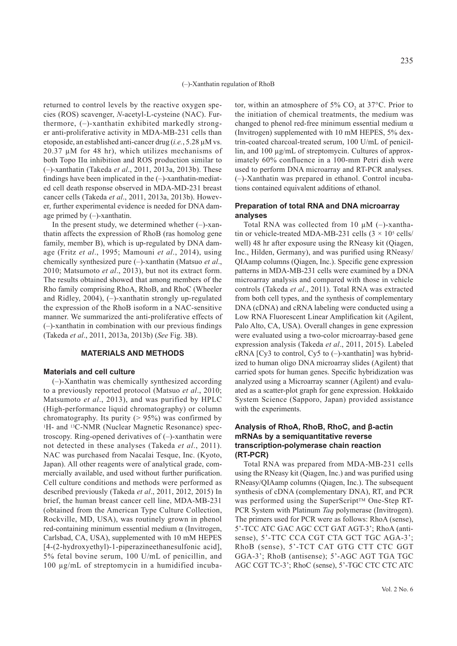returned to control levels by the reactive oxygen species (ROS) scavenger, *N*-acetyl-L-cysteine (NAC). Furthermore, (–)-xanthatin exhibited markedly stronger anti-proliferative activity in MDA-MB-231 cells than etoposide, an established anti-cancer drug (*i.e.*, 5.28 μM vs.  $20.37 \mu M$  for 48 hr), which utilizes mechanisms of both Topo IIα inhibition and ROS production similar to (–)-xanthatin (Takeda *et al*., 2011, 2013a, 2013b). These findings have been implicated in the (–)-xanthatin-mediated cell death response observed in MDA-MD-231 breast cancer cells (Takeda *et al*., 2011, 2013a, 2013b). However, further experimental evidence is needed for DNA damage primed by  $(-)$ -xanthatin.

In the present study, we determined whether  $(-)$ -xanthatin affects the expression of RhoB (ras homolog gene family, member B), which is up-regulated by DNA damage (Fritz *et al*., 1995; Mamouni *et al*., 2014), using chemically synthesized pure (–)-xanthatin (Matsuo *et al*., 2010; Matsumoto *et al*., 2013), but not its extract form. The results obtained showed that among members of the Rho family comprising RhoA, RhoB, and RhoC (Wheeler and Ridley, 2004), (–)-xanthatin strongly up-regulated the expression of the RhoB isoform in a NAC-sensitive manner. We summarized the anti-proliferative effects of (–)-xanthatin in combination with our previous findings (Takeda *et al*., 2011, 2013a, 2013b) (*See* Fig. 3B).

### **MATERIALS AND METHODS**

#### **Materials and cell culture**

(–)-Xanthatin was chemically synthesized according to a previously reported protocol (Matsuo *et al*., 2010; Matsumoto *et al*., 2013), and was purified by HPLC (High-performance liquid chromatography) or column chromatography. Its purity  $(> 95\%)$  was confirmed by <sup>1</sup>H- and <sup>13</sup>C-NMR (Nuclear Magnetic Resonance) spectroscopy. Ring-opened derivatives of (–)-xanthatin were not detected in these analyses (Takeda *et al*., 2011). NAC was purchased from Nacalai Tesque, Inc. (Kyoto, Japan). All other reagents were of analytical grade, commercially available, and used without further purification. Cell culture conditions and methods were performed as described previously (Takeda *et al*., 2011, 2012, 2015) In brief, the human breast cancer cell line, MDA-MB-231 (obtained from the American Type Culture Collection, Rockville, MD, USA), was routinely grown in phenol red-containing minimum essential medium α (Invitrogen, Carlsbad, CA, USA), supplemented with 10 mM HEPES [4-(2-hydroxyethyl)-1-piperazineethanesulfonic acid], 5% fetal bovine serum, 100 U/mL of penicillin, and 100 μg/mL of streptomycin in a humidified incubator, within an atmosphere of  $5\%$  CO<sub>2</sub> at  $37^{\circ}$ C. Prior to the initiation of chemical treatments, the medium was changed to phenol red-free minimum essential medium  $\alpha$ (Invitrogen) supplemented with 10 mM HEPES, 5% dextrin-coated charcoal-treated serum, 100 U/mL of penicillin, and 100 μg/mL of streptomycin. Cultures of approximately 60% confluence in a 100-mm Petri dish were used to perform DNA microarray and RT-PCR analyses. (–)-Xanthatin was prepared in ethanol. Control incubations contained equivalent additions of ethanol.

### **Preparation of total RNA and DNA microarray analyses**

Total RNA was collected from 10 μM (–)-xanthatin or vehicle-treated MDA-MB-231 cells  $(3 \times 10^5 \text{ cells})$ well) 48 hr after exposure using the RNeasy kit (Qiagen, Inc., Hilden, Germany), and was purified using RNeasy/ QIAamp columns (Qiagen, Inc.). Specific gene expression patterns in MDA-MB-231 cells were examined by a DNA microarray analysis and compared with those in vehicle controls (Takeda *et al*., 2011). Total RNA was extracted from both cell types, and the synthesis of complementary DNA (cDNA) and cRNA labeling were conducted using a Low RNA Fluorescent Linear Amplification kit (Agilent, Palo Alto, CA, USA). Overall changes in gene expression were evaluated using a two-color microarray-based gene expression analysis (Takeda *et al*., 2011, 2015). Labeled cRNA [Cy3 to control, Cy5 to (–)-xanthatin] was hybridized to human oligo DNA microarray slides (Agilent) that carried spots for human genes. Specific hybridization was analyzed using a Microarray scanner (Agilent) and evaluated as a scatter-plot graph for gene expression. Hokkaido System Science (Sapporo, Japan) provided assistance with the experiments.

# **Analysis of RhoA, RhoB, RhoC, and β-actin mRNAs by a semiquantitative reverse transcription-polymerase chain reaction (RT-PCR)**

Total RNA was prepared from MDA-MB-231 cells using the RNeasy kit (Qiagen, Inc.) and was purified using RNeasy/QIAamp columns (Qiagen, Inc.). The subsequent synthesis of cDNA (complementary DNA), RT, and PCR was performed using the SuperScript<sup>™</sup> One-Step RT-PCR System with Platinum *Taq* polymerase (Invitrogen). The primers used for PCR were as follows: RhoA (sense), 5'-TCC ATC GAC AGC CCT GAT AGT-3'; RhoA (antisense), 5'-TTC CCA CGT CTA GCT TGC AGA-3'; RhoB (sense), 5'-TCT CAT GTG CTT CTC GGT GGA-3'; RhoB (antisense); 5'-AGC AGT TGA TGC AGC CGT TC-3'; RhoC (sense), 5'-TGC CTC CTC ATC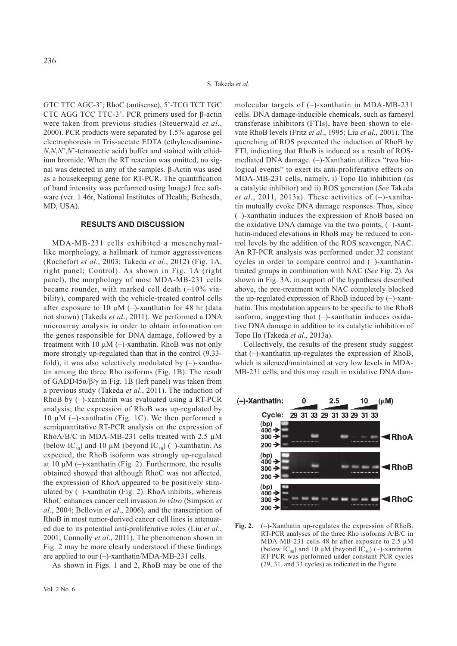GTC TTC AGC-3'; RhoC (antisense), 5'-TCG TCT TGC CTC AGG TCC TTC-3'. PCR primers used for β-actin were taken from previous studies (Steuerwald *et al*., 2000). PCR products were separated by 1.5% agarose gel electrophoresis in Tris-acetate EDTA (ethylenediamine-*N*,*N*,*N*',*N*'-tetraacetic acid) buffer and stained with ethidium bromide. When the RT reaction was omitted, no signal was detected in any of the samples. β-Actin was used as a housekeeping gene for RT-PCR. The quantification of band intensity was performed using ImageJ free software (ver. 1.46r, National Institutes of Health; Bethesda, MD, USA).

## **RESULTS AND DISCUSSION**

MDA-MB-231 cells exhibited a mesenchymallike morphology, a hallmark of tumor aggressiveness (Rochefort *et al.*, 2003; Takeda *et al.*, 2012) (Fig. 1A, right panel; Control). As shown in Fig. 1A (right panel), the morphology of most MDA-MB-231 cells became rounder, with marked cell death  $(\sim10\%$  viability), compared with the vehicle-treated control cells after exposure to 10  $\mu$ M (-)-xanthatin for 48 hr (data not shown) (Takeda *et al*., 2011). We performed a DNA microarray analysis in order to obtain information on the genes responsible for DNA damage, followed by a treatment with 10  $\mu$ M (-)-xanthatin. RhoB was not only more strongly up-regulated than that in the control (9.33 fold), it was also selectively modulated by  $(-)$ -xanthatin among the three Rho isoforms (Fig. 1B). The result of GADD45 $\alpha/\beta/\gamma$  in Fig. 1B (left panel) was taken from a previous study (Takeda *et al*., 2011). The induction of RhoB by (–)-xanthatin was evaluated using a RT-PCR analysis; the expression of RhoB was up-regulated by 10 μM ( $-$ )-xanthatin (Fig. 1C). We then performed a semiquantitative RT-PCR analysis on the expression of RhoA/B/C in MDA-MB-231 cells treated with 2.5 μM (below IC<sub>50</sub>) and 10 μM (beyond IC<sub>50</sub>) (–)-xanthatin. As expected, the RhoB isoform was strongly up-regulated at 10 μM (–)-xanthatin (Fig. 2). Furthermore, the results obtained showed that although RhoC was not affected, the expression of RhoA appeared to be positively stimulated by  $(-)$ -xanthatin (Fig. 2). RhoA inhibits, whereas RhoC enhances cancer cell invasion *in vitro* (Simpson *et al*., 2004; Bellovin *et al*., 2006), and the transcription of RhoB in most tumor-derived cancer cell lines is attenuated due to its potential anti-proliferative roles (Liu *et al*., 2001; Connolly *et al*., 2011). The phenomenon shown in Fig. 2 may be more clearly understood if these findings are applied to our (–)-xanthatin/MDA-MB-231 cells.

As shown in Figs. 1 and 2, RhoB may be one of the

molecular targets of (–)-xanthatin in MDA-MB-231 cells. DNA damage-inducible chemicals, such as farnesyl transferase inhibitors (FTIs), have been shown to elevate RhoB levels (Fritz *et al*., 1995; Liu *et al*., 2001). The quenching of ROS prevented the induction of RhoB by FTI, indicating that RhoB is induced as a result of ROSmediated DNA damage. (–)-Xanthatin utilizes "two biological events" to exert its anti-proliferative effects on MDA-MB-231 cells, namely, i) Topo IIα inhibition (as a catalytic inhibitor) and ii) ROS generation (*See* Takeda *et al*., 2011, 2013a). These activities of (–)-xanthatin mutually evoke DNA damage responses. Thus, since (–)-xanthatin induces the expression of RhoB based on the oxidative DNA damage via the two points, (–)-xanthatin-induced elevations in RhoB may be reduced to control levels by the addition of the ROS scavenger, NAC. An RT-PCR analysis was performed under 32 constant cycles in order to compare control and (–)-xanthatintreated groups in combination with NAC (*See* Fig. 2). As shown in Fig. 3A, in support of the hypothesis described above, the pre-treatment with NAC completely blocked the up-regulated expression of RhoB induced by (–)-xanthatin. This modulation appears to be specific to the RhoB isoform, suggesting that  $(-)$ -xanthatin induces oxidative DNA damage in addition to its catalytic inhibition of Topo IIα (Takeda *et al*., 2013a).

Collectively, the results of the present study suggest that (–)-xanthatin up-regulates the expression of RhoB, which is silenced/maintained at very low levels in MDA-MB-231 cells, and this may result in oxidative DNA dam-



Fig. 2. (-)-Xanthatin up-regulates the expression of RhoB. RT-PCR analyses of the three Rho isoforms A/B/C in MDA-MB-231 cells 48 hr after exposure to 2.5 μM (below IC<sub>50</sub>) and 10  $\mu$ M (beyond IC<sub>50</sub>) (-)-xanthatin. RT-PCR was performed under constant PCR cycles (29, 31, and 33 cycles) as indicated in the Figure.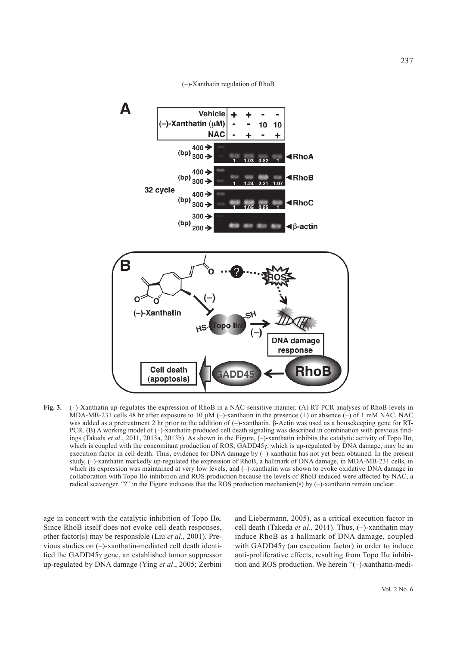(–)-Xanthatin regulation of RhoB



**Fig. 3.** (–)-Xanthatin up-regulates the expression of RhoB in a NAC-sensitive manner. (A) RT-PCR analyses of RhoB levels in MDA-MB-231 cells 48 hr after exposure to 10  $\mu$ M (–)-xanthatin in the presence (+) or absence (–) of 1 mM NAC. NAC was added as a pretreatment 2 hr prior to the addition of (–)-xanthatin. β-Actin was used as a housekeeping gene for RT-PCR. (B) A working model of (–)-xanthatin-produced cell death signaling was described in combination with previous findings (Takeda *et al*., 2011, 2013a, 2013b). As shown in the Figure, (–)-xanthatin inhibits the catalytic activity of Topo IIα, which is coupled with the concomitant production of ROS; GADD45γ, which is up-regulated by DNA damage, may be an execution factor in cell death. Thus, evidence for DNA damage by (-)-xanthatin has not yet been obtained. In the present study, (–)-xanthatin markedly up-regulated the expression of RhoB, a hallmark of DNA damage, in MDA-MB-231 cells, in which its expression was maintained at very low levels, and (-)-xanthatin was shown to evoke oxidative DNA damage in collaboration with Topo IIα inhibition and ROS production because the levels of RhoB induced were affected by NAC, a radical scavenger. "?" in the Figure indicates that the ROS production mechanism(s) by (-)-xanthatin remain unclear.

age in concert with the catalytic inhibition of Topo IIα. Since RhoB itself does not evoke cell death responses, other factor(s) may be responsible (Liu *et al*., 2001). Previous studies on (–)-xanthatin-mediated cell death identified the GADD45γ gene, an established tumor suppressor up-regulated by DNA damage (Ying *et al*., 2005; Zerbini and Liebermann, 2005), as a critical execution factor in cell death (Takeda *et al*., 2011). Thus, (–)-xanthatin may induce RhoB as a hallmark of DNA damage, coupled with GADD45γ (an execution factor) in order to induce anti-proliferative effects, resulting from Topo IIα inhibition and ROS production. We herein "(–)-xanthatin-medi